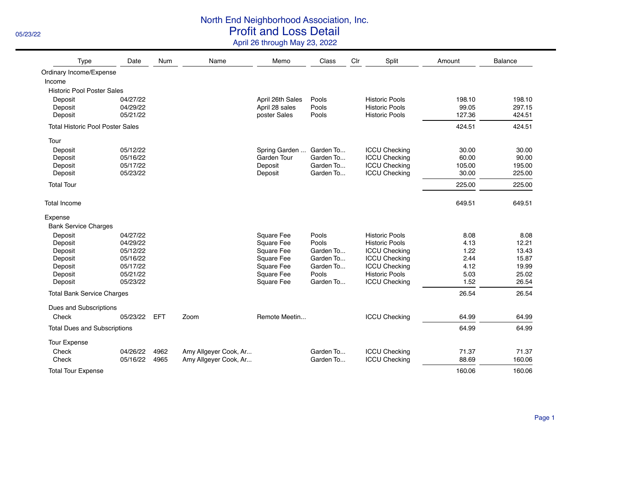## North End Neighborhood Association, Inc.

05/23/22 **Profit and Loss Detail** 

April 26 through May 23, 2022

| Type                                    | Date     | <b>Num</b> | Name                  | Memo             | Class     | Clr | Split                 | Amount | Balance |
|-----------------------------------------|----------|------------|-----------------------|------------------|-----------|-----|-----------------------|--------|---------|
| Ordinary Income/Expense                 |          |            |                       |                  |           |     |                       |        |         |
| Income                                  |          |            |                       |                  |           |     |                       |        |         |
| <b>Historic Pool Poster Sales</b>       |          |            |                       |                  |           |     |                       |        |         |
| Deposit                                 | 04/27/22 |            |                       | April 26th Sales | Pools     |     | <b>Historic Pools</b> | 198.10 | 198.10  |
| Deposit                                 | 04/29/22 |            |                       | April 28 sales   | Pools     |     | <b>Historic Pools</b> | 99.05  | 297.15  |
| Deposit                                 | 05/21/22 |            |                       | poster Sales     | Pools     |     | <b>Historic Pools</b> | 127.36 | 424.51  |
| <b>Total Historic Pool Poster Sales</b> |          |            |                       |                  |           |     |                       | 424.51 | 424.51  |
| Tour                                    |          |            |                       |                  |           |     |                       |        |         |
| Deposit                                 | 05/12/22 |            |                       | Spring Garden    | Garden To |     | <b>ICCU Checking</b>  | 30.00  | 30.00   |
| Deposit                                 | 05/16/22 |            |                       | Garden Tour      | Garden To |     | <b>ICCU Checking</b>  | 60.00  | 90.00   |
| Deposit                                 | 05/17/22 |            |                       | Deposit          | Garden To |     | <b>ICCU Checking</b>  | 105.00 | 195.00  |
| Deposit                                 | 05/23/22 |            |                       | Deposit          | Garden To |     | <b>ICCU Checking</b>  | 30.00  | 225.00  |
| <b>Total Tour</b>                       |          |            |                       |                  |           |     |                       | 225.00 | 225.00  |
| <b>Total Income</b>                     |          |            |                       |                  |           |     |                       | 649.51 | 649.51  |
| Expense                                 |          |            |                       |                  |           |     |                       |        |         |
| <b>Bank Service Charges</b>             |          |            |                       |                  |           |     |                       |        |         |
| Deposit                                 | 04/27/22 |            |                       | Square Fee       | Pools     |     | <b>Historic Pools</b> | 8.08   | 8.08    |
| Deposit                                 | 04/29/22 |            |                       | Square Fee       | Pools     |     | <b>Historic Pools</b> | 4.13   | 12.21   |
| Deposit                                 | 05/12/22 |            |                       | Square Fee       | Garden To |     | <b>ICCU Checking</b>  | 1.22   | 13.43   |
| Deposit                                 | 05/16/22 |            |                       | Square Fee       | Garden To |     | <b>ICCU Checking</b>  | 2.44   | 15.87   |
| Deposit                                 | 05/17/22 |            |                       | Square Fee       | Garden To |     | <b>ICCU Checking</b>  | 4.12   | 19.99   |
| Deposit                                 | 05/21/22 |            |                       | Square Fee       | Pools     |     | <b>Historic Pools</b> | 5.03   | 25.02   |
| Deposit                                 | 05/23/22 |            |                       | Square Fee       | Garden To |     | <b>ICCU Checking</b>  | 1.52   | 26.54   |
| <b>Total Bank Service Charges</b>       |          |            |                       |                  |           |     |                       | 26.54  | 26.54   |
| Dues and Subscriptions                  |          |            |                       |                  |           |     |                       |        |         |
| Check                                   | 05/23/22 | <b>EFT</b> | Zoom                  | Remote Meetin    |           |     | <b>ICCU Checking</b>  | 64.99  | 64.99   |
| <b>Total Dues and Subscriptions</b>     |          |            |                       |                  |           |     |                       | 64.99  | 64.99   |
| <b>Tour Expense</b>                     |          |            |                       |                  |           |     |                       |        |         |
| Check                                   | 04/26/22 | 4962       | Amy Allgeyer Cook, Ar |                  | Garden To |     | <b>ICCU Checking</b>  | 71.37  | 71.37   |
| Check                                   | 05/16/22 | 4965       | Amy Allgever Cook, Ar |                  | Garden To |     | <b>ICCU Checking</b>  | 88.69  | 160.06  |
| <b>Total Tour Expense</b>               |          |            |                       |                  |           |     |                       | 160.06 | 160.06  |